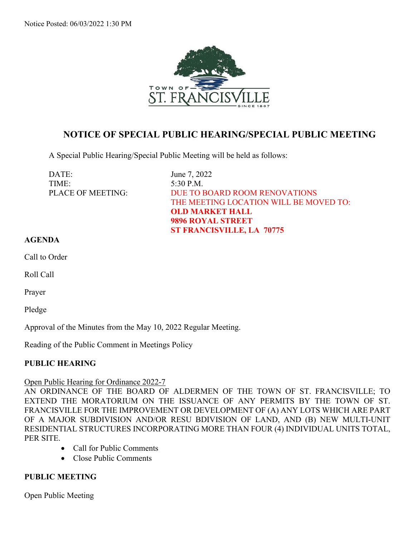

# **NOTICE OF SPECIAL PUBLIC HEARING/SPECIAL PUBLIC MEETING**

A Special Public Hearing/Special Public Meeting will be held as follows:

DATE: June 7, 2022 TIME: 5:30 P.M.

PLACE OF MEETING: DUE TO BOARD ROOM RENOVATIONS THE MEETING LOCATION WILL BE MOVED TO: **OLD MARKET HALL 9896 ROYAL STREET ST FRANCISVILLE, LA 70775**

#### **AGENDA**

Call to Order

Roll Call

Prayer

Pledge

Approval of the Minutes from the May 10, 2022 Regular Meeting.

Reading of the Public Comment in Meetings Policy

### **PUBLIC HEARING**

#### Open Public Hearing for Ordinance 2022-7

AN ORDINANCE OF THE BOARD OF ALDERMEN OF THE TOWN OF ST. FRANCISVILLE; TO EXTEND THE MORATORIUM ON THE ISSUANCE OF ANY PERMITS BY THE TOWN OF ST. FRANCISVILLE FOR THE IMPROVEMENT OR DEVELOPMENT OF (A) ANY LOTS WHICH ARE PART OF A MAJOR SUBDIVISION AND/OR RESU BDIVISION OF LAND, AND (B) NEW MULTI-UNIT RESIDENTIAL STRUCTURES INCORPORATING MORE THAN FOUR (4) INDIVIDUAL UNITS TOTAL, PER SITE.

- Call for Public Comments
- Close Public Comments

#### **PUBLIC MEETING**

Open Public Meeting